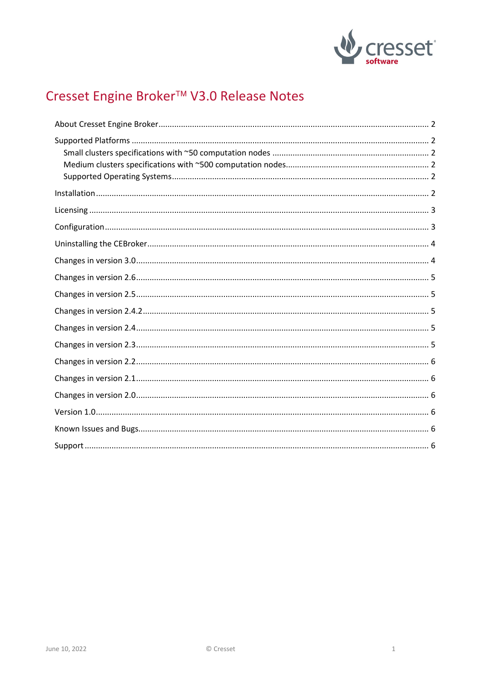

# Cresset Engine Broker<sup>™</sup> V3.0 Release Notes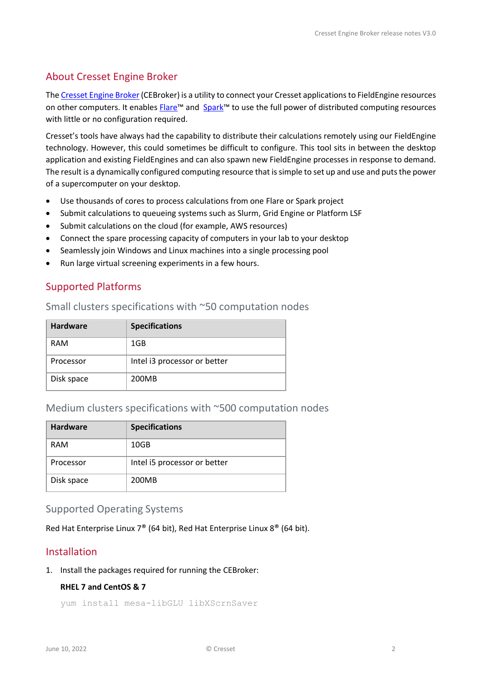# <span id="page-1-0"></span>About Cresset Engine Broker

Th[e Cresset Engine Broker](https://www.cresset-group.com/software/cressetenginebroker/)(CEBroker) is a utility to connect your Cresset applications to FieldEngine resources on other computers. It enables Flare<sup>™</sup> and Spark<sup>™</sup> to use the full power of distributed computing resources with little or no configuration required.

Cresset's tools have always had the capability to distribute their calculations remotely using our FieldEngine technology. However, this could sometimes be difficult to configure. This tool sits in between the desktop application and existing FieldEngines and can also spawn new FieldEngine processes in response to demand. The result is a dynamically configured computing resource that is simple to set up and use and puts the power of a supercomputer on your desktop.

- Use thousands of cores to process calculations from one Flare or Spark project
- Submit calculations to queueing systems such as Slurm, Grid Engine or Platform LSF
- Submit calculations on the cloud (for example, AWS resources)
- Connect the spare processing capacity of computers in your lab to your desktop
- Seamlessly join Windows and Linux machines into a single processing pool
- Run large virtual screening experiments in a few hours.

# <span id="page-1-1"></span>Supported Platforms

#### <span id="page-1-2"></span>Small clusters specifications with ~50 computation nodes

| <b>Hardware</b> | <b>Specifications</b>        |
|-----------------|------------------------------|
| <b>RAM</b>      | 1GB                          |
| Processor       | Intel i3 processor or better |
| Disk space      | 200MB                        |

#### <span id="page-1-3"></span>Medium clusters specifications with ~500 computation nodes

| <b>Hardware</b> | <b>Specifications</b>        |
|-----------------|------------------------------|
| <b>RAM</b>      | 10GB                         |
| Processor       | Intel i5 processor or better |
| Disk space      | 200MB                        |

#### <span id="page-1-4"></span>Supported Operating Systems

Red Hat Enterprise Linux 7® (64 bit), Red Hat Enterprise Linux 8® (64 bit).

# <span id="page-1-5"></span>Installation

1. Install the packages required for running the CEBroker:

#### **RHEL 7 and CentOS & 7**

yum install mesa-libGLU libXScrnSaver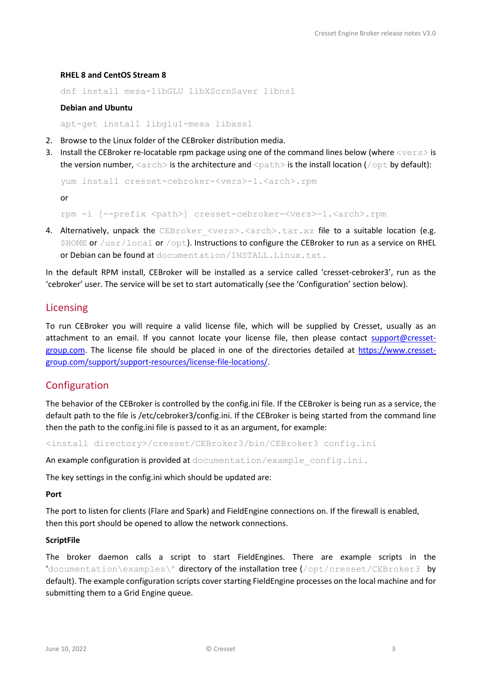#### **RHEL 8 and CentOS Stream 8**

```
dnf install mesa-libGLU libXScrnSaver libnsl
```
#### **Debian and Ubuntu**

apt-get install libglu1-mesa libxss1

- 2. Browse to the Linux folder of the CEBroker distribution media.
- 3. Install the CEBroker re-locatable rpm package using one of the command lines below (where  $\langle vers \rangle$  is the version number,  $\langle \arctan \rangle$  is the architecture and  $\langle \text{path} \rangle$  is the install location ( $\langle \text{opt} \rangle$  by default):

```
yum install cresset-cebroker-<vers>-1.<arch>.rpm
```
or

rpm -i [--prefix <path>] cresset-cebroker-<vers>-1.<arch>.rpm

4. Alternatively, unpack the CEBroker <vers>.<arch>.tar.xz file to a suitable location (e.g. \$HOME or /usr/local or /opt). Instructions to configure the CEBroker to run as a service on RHEL or Debian can be found at documentation/INSTALL.Linux.txt.

In the default RPM install, CEBroker will be installed as a service called 'cresset-cebroker3', run as the 'cebroker' user. The service will be set to start automatically (see the 'Configuration' section below).

#### <span id="page-2-0"></span>Licensing

To run CEBroker you will require a valid license file, which will be supplied by Cresset, usually as an attachment to an email. If you cannot locate your license file, then please contact [support@cresset](mailto:support@cresset-group.com)[group.com.](mailto:support@cresset-group.com) The license file should be placed in one of the directories detailed at [https://www.cresset](https://www.cresset-group.com/support/support-resources/license-file-locations/)[group.com/support/support-resources/license-file-locations/.](https://www.cresset-group.com/support/support-resources/license-file-locations/)

#### <span id="page-2-1"></span>Configuration

The behavior of the CEBroker is controlled by the config.ini file. If the CEBroker is being run as a service, the default path to the file is /etc/cebroker3/config.ini. If the CEBroker is being started from the command line then the path to the config.ini file is passed to it as an argument, for example:

<install directory>/cresset/CEBroker3/bin/CEBroker3 config.ini

An example configuration is provided at documentation/example\_config.ini.

The key settings in the config.ini which should be updated are:

#### **Port**

The port to listen for clients (Flare and Spark) and FieldEngine connections on. If the firewall is enabled, then this port should be opened to allow the network connections.

#### **ScriptFile**

The broker daemon calls a script to start FieldEngines. There are example scripts in the 'documentation\examples\' directory of the installation tree (/opt/cresset/CEBroker3 by default). The example configuration scripts cover starting FieldEngine processes on the local machine and for submitting them to a Grid Engine queue.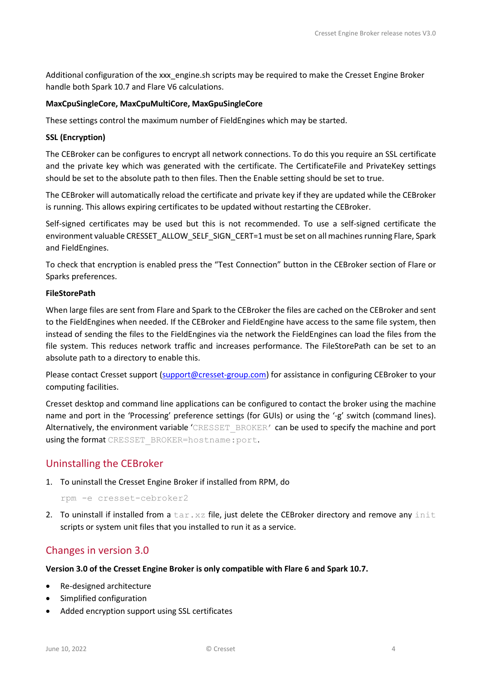Additional configuration of the xxx engine.sh scripts may be required to make the Cresset Engine Broker handle both Spark 10.7 and Flare V6 calculations.

#### **MaxCpuSingleCore, MaxCpuMultiCore, MaxGpuSingleCore**

These settings control the maximum number of FieldEngines which may be started.

#### **SSL (Encryption)**

The CEBroker can be configures to encrypt all network connections. To do this you require an SSL certificate and the private key which was generated with the certificate. The CertificateFile and PrivateKey settings should be set to the absolute path to then files. Then the Enable setting should be set to true.

The CEBroker will automatically reload the certificate and private key if they are updated while the CEBroker is running. This allows expiring certificates to be updated without restarting the CEBroker.

Self-signed certificates may be used but this is not recommended. To use a self-signed certificate the environment valuable CRESSET\_ALLOW\_SELF\_SIGN\_CERT=1 must be set on all machines running Flare, Spark and FieldEngines.

To check that encryption is enabled press the "Test Connection" button in the CEBroker section of Flare or Sparks preferences.

#### **FileStorePath**

When large files are sent from Flare and Spark to the CEBroker the files are cached on the CEBroker and sent to the FieldEngines when needed. If the CEBroker and FieldEngine have access to the same file system, then instead of sending the files to the FieldEngines via the network the FieldEngines can load the files from the file system. This reduces network traffic and increases performance. The FileStorePath can be set to an absolute path to a directory to enable this.

Please contact Cresset support [\(support@cresset-group.com\)](mailto:support@cresset-group.com) for assistance in configuring CEBroker to your computing facilities.

Cresset desktop and command line applications can be configured to contact the broker using the machine name and port in the 'Processing' preference settings (for GUIs) or using the '-g' switch (command lines). Alternatively, the environment variable 'CRESSET\_BROKER' can be used to specify the machine and port using the format CRESSET\_BROKER=hostname:port.

# <span id="page-3-0"></span>Uninstalling the CEBroker

1. To uninstall the Cresset Engine Broker if installed from RPM, do

rpm -e cresset-cebroker2

2. To uninstall if installed from a  $\tan xz$  file, just delete the CEBroker directory and remove any init scripts or system unit files that you installed to run it as a service.

# <span id="page-3-1"></span>Changes in version 3.0

#### **Version 3.0 of the Cresset Engine Broker is only compatible with Flare 6 and Spark 10.7.**

- Re-designed architecture
- Simplified configuration
- Added encryption support using SSL certificates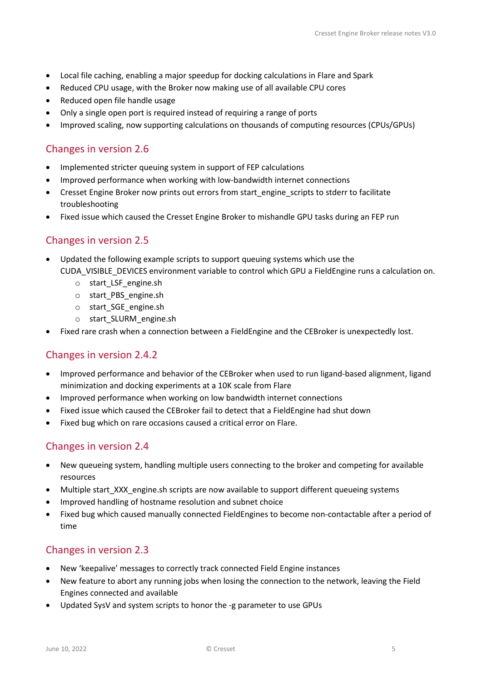- Local file caching, enabling a major speedup for docking calculations in Flare and Spark
- Reduced CPU usage, with the Broker now making use of all available CPU cores
- Reduced open file handle usage
- Only a single open port is required instead of requiring a range of ports
- Improved scaling, now supporting calculations on thousands of computing resources (CPUs/GPUs)

# <span id="page-4-0"></span>Changes in version 2.6

- Implemented stricter queuing system in support of FEP calculations
- Improved performance when working with low-bandwidth internet connections
- Cresset Engine Broker now prints out errors from start engine scripts to stderr to facilitate troubleshooting
- Fixed issue which caused the Cresset Engine Broker to mishandle GPU tasks during an FEP run

# <span id="page-4-1"></span>Changes in version 2.5

- Updated the following example scripts to support queuing systems which use the CUDA\_VISIBLE\_DEVICES environment variable to control which GPU a FieldEngine runs a calculation on.
	- o start\_LSF\_engine.sh
	- o start\_PBS\_engine.sh
	- o start\_SGE\_engine.sh
	- o start\_SLURM\_engine.sh
- Fixed rare crash when a connection between a FieldEngine and the CEBroker is unexpectedly lost.

# <span id="page-4-2"></span>Changes in version 2.4.2

- Improved performance and behavior of the CEBroker when used to run ligand-based alignment, ligand minimization and docking experiments at a 10K scale from Flare
- Improved performance when working on low bandwidth internet connections
- Fixed issue which caused the CEBroker fail to detect that a FieldEngine had shut down
- Fixed bug which on rare occasions caused a critical error on Flare.

# <span id="page-4-3"></span>Changes in version 2.4

- New queueing system, handling multiple users connecting to the broker and competing for available resources
- Multiple start\_XXX\_engine.sh scripts are now available to support different queueing systems
- Improved handling of hostname resolution and subnet choice
- Fixed bug which caused manually connected FieldEngines to become non-contactable after a period of time

# <span id="page-4-4"></span>Changes in version 2.3

- New 'keepalive' messages to correctly track connected Field Engine instances
- New feature to abort any running jobs when losing the connection to the network, leaving the Field Engines connected and available
- Updated SysV and system scripts to honor the -g parameter to use GPUs